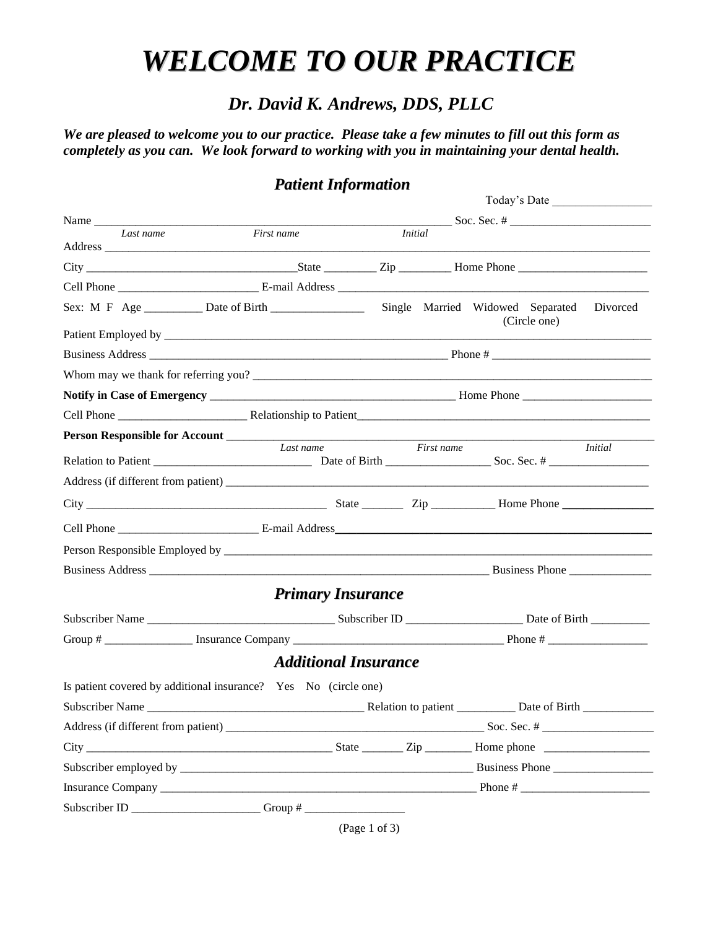# *WELCOME TO OUR PRACTICE*

## *Dr. David K. Andrews, DDS, PLLC*

*We are pleased to welcome you to our practice. Please take a few minutes to fill out this form as completely as you can. We look forward to working with you in maintaining your dental health.*

## *Patient Information*

|  |           |                                                                 |                                           |                | Today's Date |  |  |
|--|-----------|-----------------------------------------------------------------|-------------------------------------------|----------------|--------------|--|--|
|  | Name      |                                                                 |                                           |                |              |  |  |
|  | Last name | First name<br>Address                                           |                                           | <b>Initial</b> |              |  |  |
|  |           |                                                                 |                                           |                |              |  |  |
|  |           |                                                                 |                                           |                |              |  |  |
|  |           |                                                                 |                                           |                | (Circle one) |  |  |
|  |           |                                                                 |                                           |                |              |  |  |
|  |           |                                                                 |                                           |                |              |  |  |
|  |           |                                                                 |                                           |                |              |  |  |
|  |           |                                                                 |                                           |                |              |  |  |
|  |           |                                                                 |                                           |                |              |  |  |
|  |           |                                                                 |                                           |                |              |  |  |
|  |           |                                                                 | Last name<br>First name<br><i>Initial</i> |                |              |  |  |
|  |           |                                                                 |                                           |                |              |  |  |
|  |           |                                                                 |                                           |                |              |  |  |
|  |           |                                                                 |                                           |                |              |  |  |
|  |           |                                                                 |                                           |                |              |  |  |
|  |           |                                                                 |                                           |                |              |  |  |
|  |           |                                                                 | <b>Primary Insurance</b>                  |                |              |  |  |
|  |           |                                                                 |                                           |                |              |  |  |
|  |           | Group #                                                         |                                           |                |              |  |  |
|  |           |                                                                 | <b>Additional Insurance</b>               |                |              |  |  |
|  |           | Is patient covered by additional insurance? Yes No (circle one) |                                           |                |              |  |  |
|  |           |                                                                 |                                           |                |              |  |  |
|  |           |                                                                 |                                           |                |              |  |  |
|  |           |                                                                 |                                           |                |              |  |  |
|  |           |                                                                 |                                           | Business Phone |              |  |  |
|  |           |                                                                 |                                           |                |              |  |  |
|  |           |                                                                 |                                           |                |              |  |  |

(Page 1 of 3)